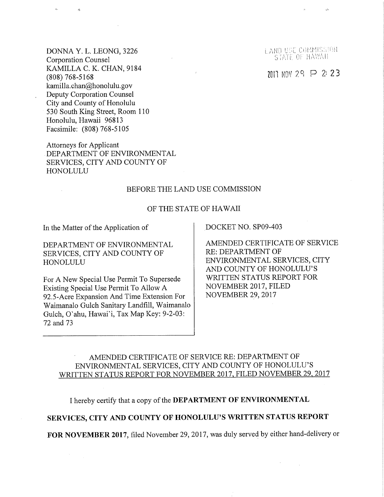DONNA Y. L. LEONG, 3226 Corporation Counsel KAMILLA C. K. CHAN, 9184 (808) 768-5168 kamilla.chan@honolulu.gov Deputy Corporation Counsel City and County of Honolulu 530 South King Street, Room 110 Honolulu, Hawaii 96813 Facsimile: (808) 768-5105

Ą

Attorneys for Applicant DEPARTMENT OF ENVIRONMENTAL SERVICES, CITY AND COUNTY OF HONOLULU

### BEFORE THE LAND USE COMMISSION

#### OF THE STATE OF HAWAII

In the Matter of the Application of

DEPARTMENT OF ENVIRONMENTAL SERVICES, CITY AND COUNTY OF HONOLULU

For A New Special Use Permit To Supersede Existing Special Use Permit To Allow A 92.5-Acre Expansion And Time Extension For Waimanalo Gulch Sanitary Landfill, Waimanalo Gulch, O'ahu, Hawai'i, Tax Map Key: 9-2-03: 72 and 73

DOCKET NO. SP09-403

AMENDED CERTIFICATE OF SERVICE RE: DEPARTMENT OF ENVIRONMENTAL SERVICES, CITY AND COUNTY OF HONOLULU'S WRITTEN STATUS REPORT FOR NOVEMBER 2017, FILED NOVEMBER 29, 2017

## AMENDED CERTIFICATE OF SERVICE RE: DEPARTMENT OF ENVIRONMENTAL SERVICES, CITY AND COUNTY OF HONOLULU'S WRITTEN STATUS REPORT FOR NOVEMBER 2017. FILED NOVEMBER 29, 2017

I hereby certify that a copy of the DEPARTMENT OF ENVIRONMENTAL

## SERVICES, CITY AND COUNTY OF HONOLULU'S WRITTEN STATUS REPORT

FOR NOVEMBER 2017, filed November 29, 2017, was duly served by either hand-delivery or

STATE OF HAWAII

 $2011$  NOV 29  $\triangleright$  2: 23

# LARO USE COMMISSION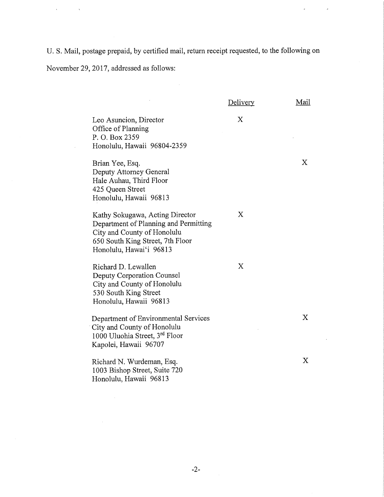U. S. Mail, postage prepaid, by certified mail, return receipt requested, to the following on

 $\hat{\theta}$ 

 $\hat{\mathcal{A}}$ 

November 29, 2017, addressed as follows:

 $\tilde{\mathbf{y}}$ 

 $\tilde{\mathcal{A}}$ 

ł,

|                                                                                                                                                                        | Delivery | Mail |
|------------------------------------------------------------------------------------------------------------------------------------------------------------------------|----------|------|
| Leo Asuncion, Director<br>Office of Planning<br>P.O. Box 2359<br>Honolulu, Hawaii 96804-2359                                                                           | X        |      |
| Brian Yee, Esq.<br>Deputy Attorney General<br>Hale Auhau, Third Floor<br>425 Queen Street<br>Honolulu, Hawaii 96813                                                    |          | X    |
| Kathy Sokugawa, Acting Director<br>Department of Planning and Permitting<br>City and County of Honolulu<br>650 South King Street, 7th Floor<br>Honolulu, Hawai'i 96813 | X        |      |
| Richard D. Lewallen<br>Deputy Corporation Counsel<br>City and County of Honolulu<br>530 South King Street<br>Honolulu, Hawaii 96813                                    | X        |      |
| Department of Environmental Services<br>City and County of Honolulu<br>1000 Uluohia Street, 3rd Floor<br>Kapolei, Hawaii 96707                                         |          | X    |
| Richard N. Wurdeman, Esq.<br>1003 Bishop Street, Suite 720<br>Honolulu, Hawaii 96813                                                                                   |          | X    |